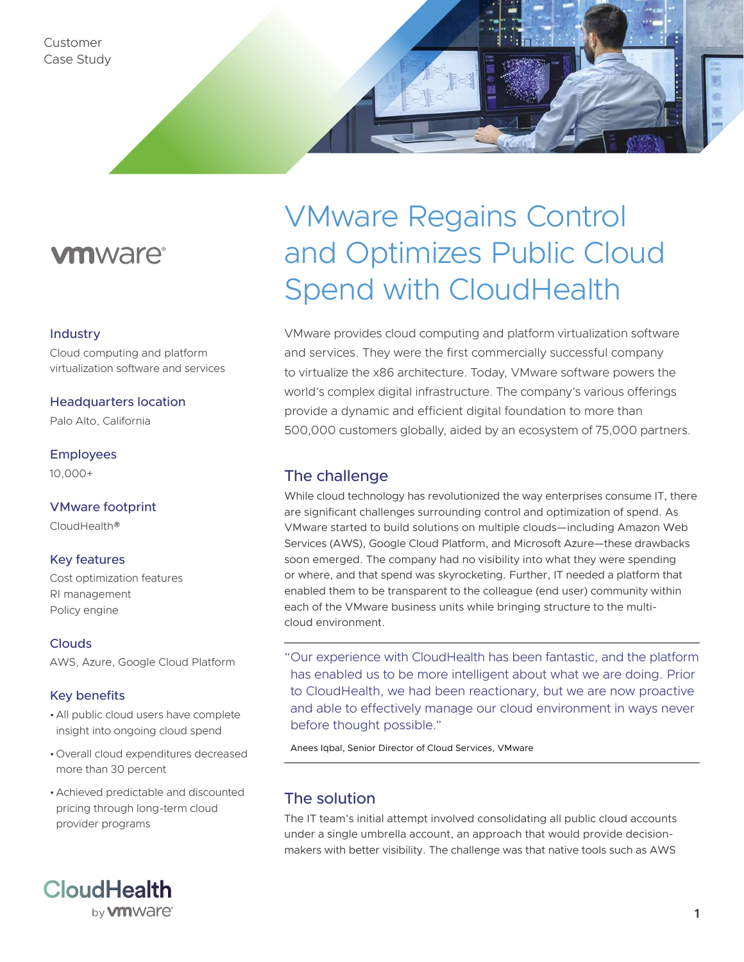# **vm**ware<sup>®</sup>

### Industry

Cloud computing and platform virtualization software and services

### Headquarters location

Palo Alto, California

### Employees

10,000+

### VMware footprint

CloudHealth®

### Key features

Cost optimization features RI management Policy engine

### **Clouds**

AWS, Azure, Google Cloud Platform

### Key benefits

- •All public cloud users have complete insight into ongoing cloud spend
- •Overall cloud expenditures decreased more than 30 percent
- •Achieved predictable and discounted pricing through long-term cloud provider programs



# VMware Regains Control and Optimizes Public Cloud Spend with CloudHealth

VMware provides cloud computing and platform virtualization software and services. They were the first commercially successful company to virtualize the x86 architecture. Today, VMware software powers the world's complex digital infrastructure. The company's various offerings provide a dynamic and efficient digital foundation to more than 500,000 customers globally, aided by an ecosystem of 75,000 partners.

# The challenge

While cloud technology has revolutionized the way enterprises consume IT, there are significant challenges surrounding control and optimization of spend. As VMware started to build solutions on multiple clouds—including Amazon Web Services (AWS), Google Cloud Platform, and Microsoft Azure—these drawbacks soon emerged. The company had no visibility into what they were spending or where, and that spend was skyrocketing. Further, IT needed a platform that enabled them to be transparent to the colleague (end user) community within each of the VMware business units while bringing structure to the multicloud environment.

"Our experience with CloudHealth has been fantastic, and the platform has enabled us to be more intelligent about what we are doing. Prior to CloudHealth, we had been reactionary, but we are now proactive and able to effectively manage our cloud environment in ways never before thought possible."

Anees Iqbal, Senior Director of Cloud Services, VMware

# The solution

The IT team's initial attempt involved consolidating all public cloud accounts under a single umbrella account, an approach that would provide decisionmakers with better visibility. The challenge was that native tools such as AWS